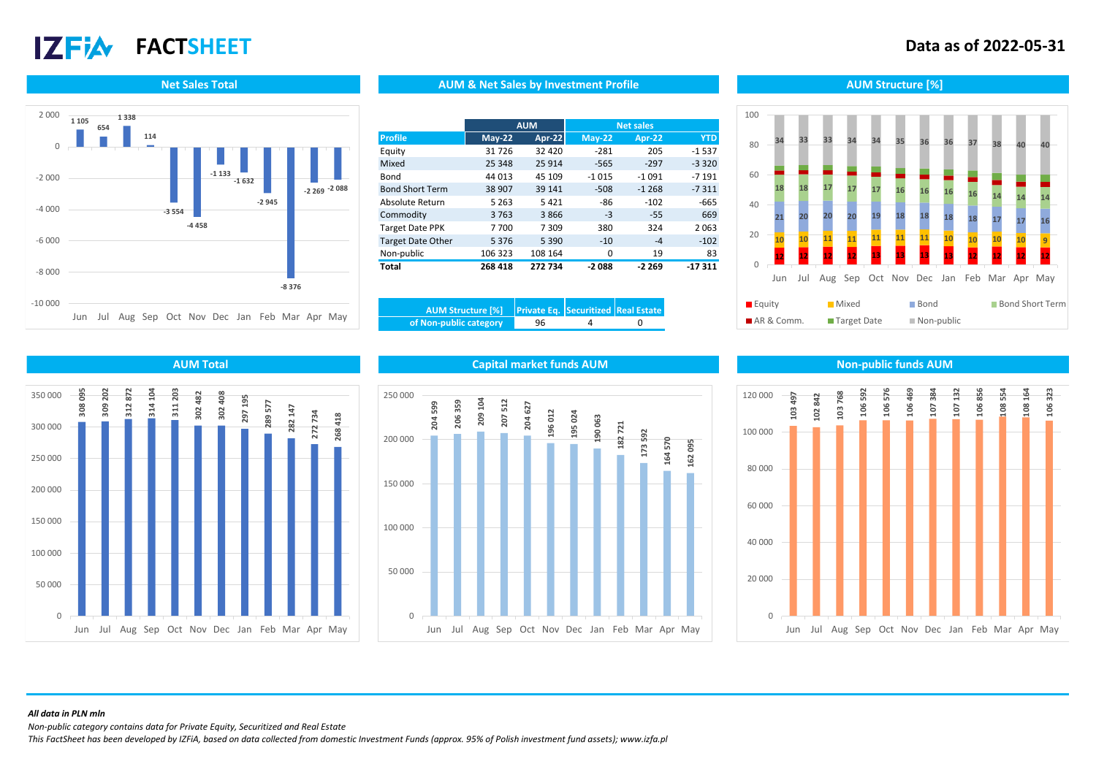# $17$ Fi $\lambda$

## **FACTSHEET Data as of 2022-05-31**





## **Net Sales Total AUM Structure [%]** AUM AUM & Net Sales by Investment Profile Aument Aum Structure [%]

|                          |          | <b>AUM</b>    |          | <b>Net sales</b> |            |
|--------------------------|----------|---------------|----------|------------------|------------|
| <b>Profile</b>           | $May-22$ | <b>Apr-22</b> | $May-22$ | <b>Apr-22</b>    | <b>YTD</b> |
| Equity                   | 31726    | 32 4 20       | $-281$   | 205              | $-1537$    |
| Mixed                    | 25 348   | 25 9 14       | $-565$   | $-297$           | $-3320$    |
| Bond                     | 44 013   | 45 109        | $-1015$  | $-1091$          | $-7191$    |
| <b>Bond Short Term</b>   | 38 907   | 39 141        | $-508$   | $-1268$          | $-7311$    |
| Absolute Return          | 5 2 6 3  | 5421          | $-86$    | $-102$           | $-665$     |
| Commodity                | 3763     | 3866          | $-3$     | $-55$            | 669        |
| <b>Target Date PPK</b>   | 7700     | 7309          | 380      | 324              | 2063       |
| <b>Target Date Other</b> | 5376     | 5 3 9 0       | $-10$    | $-4$             | $-102$     |
| Non-public               | 106 323  | 108 164       | 0        | 19               | 83         |
| <b>Total</b>             | 268 418  | 272 734       | $-2088$  | $-2269$          | $-17311$   |

| of Non-public category | 96 |  |
|------------------------|----|--|







**AUM Total Capital market funds AUM Non-public funds AUM**



### *All data in PLN mln*

*Non-public category contains data for Private Equity, Securitized and Real Estate*

*This FactSheet has been developed by IZFiA, based on data collected from domestic Investment Funds (approx. 95% of Polish investment fund assets); www.izfa.pl*